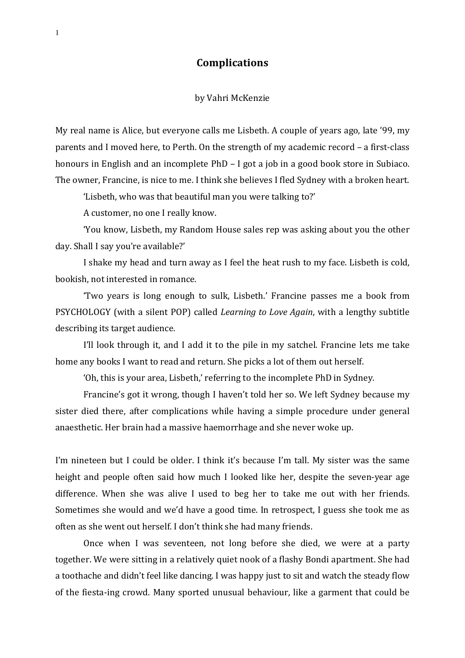## **Complications**

## by Vahri McKenzie

My real name is Alice, but everyone calls me Lisbeth. A couple of years ago, late '99, my parents and I moved here, to Perth. On the strength of my academic record - a first-class honours in English and an incomplete PhD - I got a job in a good book store in Subiaco. The owner, Francine, is nice to me. I think she believes I fled Sydney with a broken heart.

'Lisbeth, who was that beautiful man you were talking to?'

A customer, no one I really know.

'You know, Lisbeth, my Random House sales rep was asking about you the other day. Shall I say you're available?'

I shake my head and turn away as I feel the heat rush to my face. Lisbeth is cold, bookish, not interested in romance.

'Two years is long enough to sulk, Lisbeth.' Francine passes me a book from PSYCHOLOGY (with a silent POP) called *Learning to Love Again*, with a lengthy subtitle describing its target audience.

I'll look through it, and I add it to the pile in my satchel. Francine lets me take home any books I want to read and return. She picks a lot of them out herself.

'Oh, this is your area, Lisbeth,' referring to the incomplete PhD in Sydney.

Francine's got it wrong, though I haven't told her so. We left Sydney because my sister died there, after complications while having a simple procedure under general anaesthetic. Her brain had a massive haemorrhage and she never woke up.

I'm nineteen but I could be older. I think it's because I'm tall. My sister was the same height and people often said how much I looked like her, despite the seven-year age difference. When she was alive I used to beg her to take me out with her friends. Sometimes she would and we'd have a good time. In retrospect, I guess she took me as often as she went out herself. I don't think she had many friends.

Once when I was seventeen, not long before she died, we were at a party together. We were sitting in a relatively quiet nook of a flashy Bondi apartment. She had a toothache and didn't feel like dancing. I was happy just to sit and watch the steady flow of the fiesta-ing crowd. Many sported unusual behaviour, like a garment that could be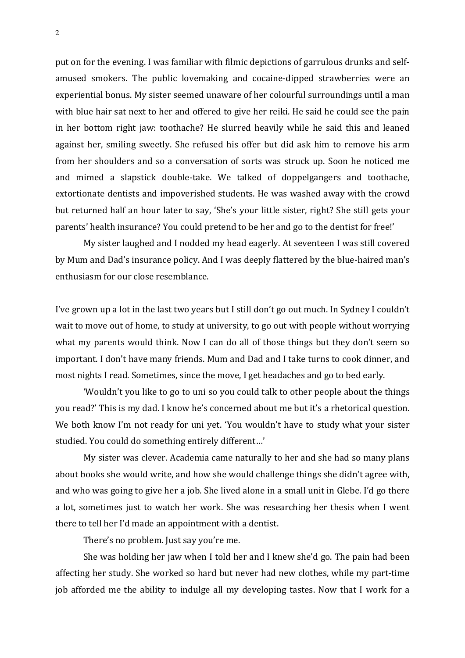put on for the evening. I was familiar with filmic depictions of garrulous drunks and selfamused smokers. The public lovemaking and cocaine-dipped strawberries were an experiential bonus. My sister seemed unaware of her colourful surroundings until a man with blue hair sat next to her and offered to give her reiki. He said he could see the pain in her bottom right jaw: toothache? He slurred heavily while he said this and leaned against her, smiling sweetly. She refused his offer but did ask him to remove his arm from her shoulders and so a conversation of sorts was struck up. Soon he noticed me and mimed a slapstick double-take. We talked of doppelgangers and toothache, extortionate dentists and impoverished students. He was washed away with the crowd but returned half an hour later to say, 'She's your little sister, right? She still gets your parents' health insurance? You could pretend to be her and go to the dentist for free!'

My sister laughed and I nodded my head eagerly. At seventeen I was still covered by Mum and Dad's insurance policy. And I was deeply flattered by the blue-haired man's enthusiasm for our close resemblance.

I've grown up a lot in the last two years but I still don't go out much. In Sydney I couldn't wait to move out of home, to study at university, to go out with people without worrying what my parents would think. Now I can do all of those things but they don't seem so important. I don't have many friends. Mum and Dad and I take turns to cook dinner, and most nights I read. Sometimes, since the move, I get headaches and go to bed early.

'Wouldn't you like to go to uni so you could talk to other people about the things you read?' This is my dad. I know he's concerned about me but it's a rhetorical question. We both know I'm not ready for uni yet. 'You wouldn't have to study what your sister studied. You could do something entirely different...'

My sister was clever. Academia came naturally to her and she had so many plans about books she would write, and how she would challenge things she didn't agree with, and who was going to give her a job. She lived alone in a small unit in Glebe. I'd go there a lot, sometimes just to watch her work. She was researching her thesis when I went there to tell her I'd made an appointment with a dentist.

There's no problem. Just say you're me.

She was holding her jaw when I told her and I knew she'd go. The pain had been affecting her study. She worked so hard but never had new clothes, while my part-time job afforded me the ability to indulge all my developing tastes. Now that I work for a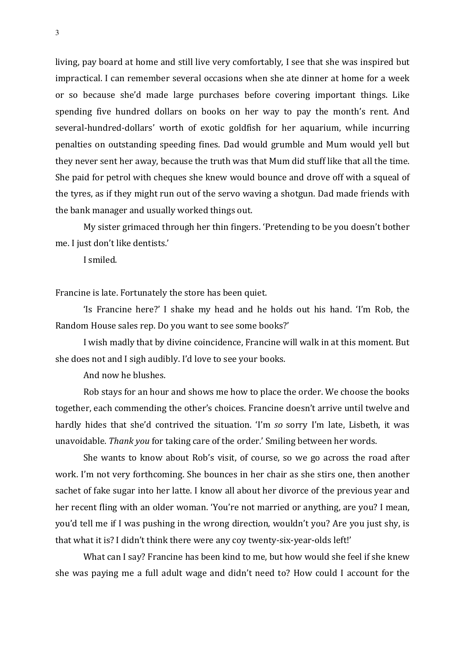living, pay board at home and still live very comfortably, I see that she was inspired but impractical. I can remember several occasions when she ate dinner at home for a week or so because she'd made large purchases before covering important things. Like spending five hundred dollars on books on her way to pay the month's rent. And several-hundred-dollars' worth of exotic goldfish for her aquarium, while incurring penalties on outstanding speeding fines. Dad would grumble and Mum would yell but they never sent her away, because the truth was that Mum did stuff like that all the time. She paid for petrol with cheques she knew would bounce and drove off with a squeal of the tyres, as if they might run out of the servo waving a shotgun. Dad made friends with the bank manager and usually worked things out.

My sister grimaced through her thin fingers. 'Pretending to be you doesn't bother me. I just don't like dentists.'

I smiled.

Francine is late. Fortunately the store has been quiet.

'Is Francine here?' I shake my head and he holds out his hand. 'I'm Rob, the Random House sales rep. Do you want to see some books?'

I wish madly that by divine coincidence, Francine will walk in at this moment. But she does not and I sigh audibly. I'd love to see your books.

And now he blushes.

Rob stays for an hour and shows me how to place the order. We choose the books together, each commending the other's choices. Francine doesn't arrive until twelve and hardly hides that she'd contrived the situation. 'I'm so sorry I'm late, Lisbeth, it was unavoidable. *Thank you* for taking care of the order.' Smiling between her words.

She wants to know about Rob's visit, of course, so we go across the road after work. I'm not very forthcoming. She bounces in her chair as she stirs one, then another sachet of fake sugar into her latte. I know all about her divorce of the previous year and her recent fling with an older woman. 'You're not married or anything, are you? I mean, you'd tell me if I was pushing in the wrong direction, wouldn't you? Are you just shy, is that what it is? I didn't think there were any coy twenty-six-year-olds left!'

What can I say? Francine has been kind to me, but how would she feel if she knew she was paying me a full adult wage and didn't need to? How could I account for the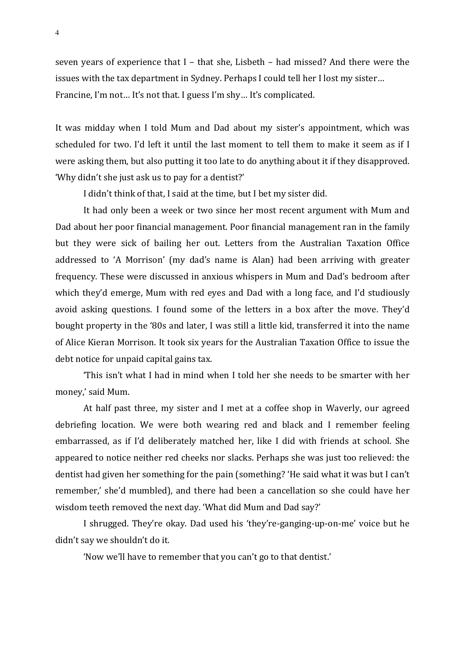seven years of experience that I – that she, Lisbeth – had missed? And there were the issues with the tax department in Sydney. Perhaps I could tell her I lost my sister... Francine, I'm not... It's not that. I guess I'm shy... It's complicated.

It was midday when I told Mum and Dad about my sister's appointment, which was scheduled for two. I'd left it until the last moment to tell them to make it seem as if I were asking them, but also putting it too late to do anything about it if they disapproved. 'Why didn't she just ask us to pay for a dentist?'

I didn't think of that, I said at the time, but I bet my sister did.

It had only been a week or two since her most recent argument with Mum and Dad about her poor financial management. Poor financial management ran in the family but they were sick of bailing her out. Letters from the Australian Taxation Office addressed to 'A Morrison' (my dad's name is Alan) had been arriving with greater frequency. These were discussed in anxious whispers in Mum and Dad's bedroom after which they'd emerge, Mum with red eyes and Dad with a long face, and I'd studiously avoid asking questions. I found some of the letters in a box after the move. They'd bought property in the '80s and later, I was still a little kid, transferred it into the name of Alice Kieran Morrison. It took six years for the Australian Taxation Office to issue the debt notice for unpaid capital gains tax.

'This isn't what I had in mind when I told her she needs to be smarter with her money,' said Mum.

At half past three, my sister and I met at a coffee shop in Waverly, our agreed debriefing location. We were both wearing red and black and I remember feeling embarrassed, as if I'd deliberately matched her, like I did with friends at school. She appeared to notice neither red cheeks nor slacks. Perhaps she was just too relieved: the dentist had given her something for the pain (something? 'He said what it was but I can't remember,' she'd mumbled), and there had been a cancellation so she could have her wisdom teeth removed the next day. 'What did Mum and Dad say?'

I shrugged. They're okay. Dad used his 'they're-ganging-up-on-me' voice but he didn't say we shouldn't do it.

'Now we'll have to remember that you can't go to that dentist.'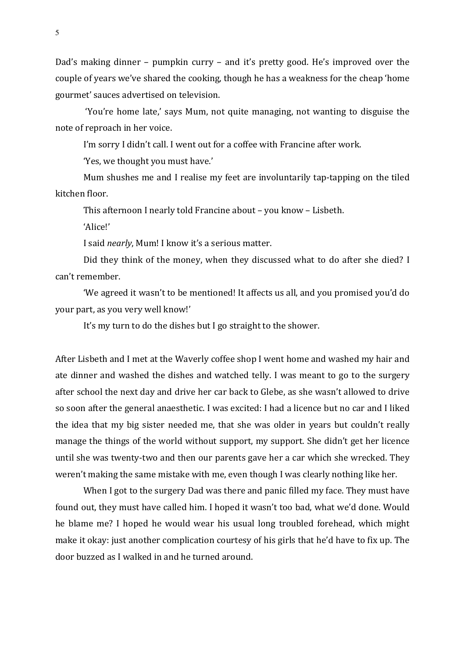Dad's making dinner – pumpkin curry – and it's pretty good. He's improved over the couple of years we've shared the cooking, though he has a weakness for the cheap 'home gourmet' sauces advertised on television.

'You're home late,' says Mum, not quite managing, not wanting to disguise the note of reproach in her voice.

I'm sorry I didn't call. I went out for a coffee with Francine after work.

'Yes, we thought you must have.'

Mum shushes me and I realise my feet are involuntarily tap-tapping on the tiled kitchen floor.

This afternoon I nearly told Francine about – you know – Lisbeth.

'Alice!'

I said *nearly*, Mum! I know it's a serious matter.

Did they think of the money, when they discussed what to do after she died? I can't remember.

'We agreed it wasn't to be mentioned! It affects us all, and you promised you'd do your part, as you very well know!'

It's my turn to do the dishes but I go straight to the shower.

After Lisbeth and I met at the Waverly coffee shop I went home and washed my hair and ate dinner and washed the dishes and watched telly. I was meant to go to the surgery after school the next day and drive her car back to Glebe, as she wasn't allowed to drive so soon after the general anaesthetic. I was excited: I had a licence but no car and I liked the idea that my big sister needed me, that she was older in years but couldn't really manage the things of the world without support, my support. She didn't get her licence until she was twenty-two and then our parents gave her a car which she wrecked. They weren't making the same mistake with me, even though I was clearly nothing like her.

When I got to the surgery Dad was there and panic filled my face. They must have found out, they must have called him. I hoped it wasn't too bad, what we'd done. Would he blame me? I hoped he would wear his usual long troubled forehead, which might make it okay: just another complication courtesy of his girls that he'd have to fix up. The door buzzed as I walked in and he turned around.